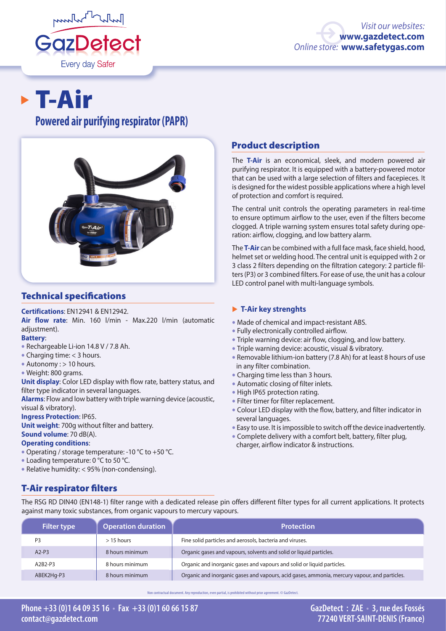

# T-Air

## **Powered air purifying respirator (PAPR)**



## Technical specifications

#### **Certifications**: EN12941 & EN12942.

**Air flow rate**: Min. 160 l/min - Max.220 l/min (automatic adjustment).

#### **Battery**:

- Rechargeable Li-ion 14.8 V / 7.8 Ah.
- Charging time: < 3 hours.
- Autonomy : > 10 hours.
- Weight: 800 grams.

**Unit display**: Color LED display with flow rate, battery status, and filter type indicator in several languages.

**Alarms**: Flow and low battery with triple warning device (acoustic, visual & vibratory).

**Ingress Protection**: IP65.

**Unit weight**: 700g without filter and battery. **Sound volume**: 70 dB(A).

#### **Operating conditions**:

- Operating / storage temperature: -10 °C to +50 °C.
- Loading temperature: 0 °C to 50 °C.
- Relative humidity: < 95% (non-condensing).

## Product description

The **T-Air** is an economical, sleek, and modern powered air purifying respirator. It is equipped with a battery-powered motor that can be used with a large selection of filters and facepieces. It is designed for the widest possible applications where a high level of protection and comfort is required.

The central unit controls the operating parameters in real-time to ensure optimum airflow to the user, even if the filters become clogged. A triple warning system ensures total safety during operation: airflow, clogging, and low battery alarm.

The **T-Air** can be combined with a full face mask, face shield, hood, helmet set or welding hood. The central unit is equipped with 2 or 3 class 2 filters depending on the filtration category: 2 particle filters (P3) or 3 combined filters. For ease of use, the unit has a colour LED control panel with multi-language symbols.

#### � **T-Air key strenghts**

- Made of chemical and impact-resistant ABS.
- Fully electronically controlled airflow.
- Triple warning device: air flow, clogging, and low battery.
- Triple warning device: acoustic, visual & vibratory.
- Removable lithium-ion battery (7.8 Ah) for at least 8 hours of use in any filter combination.
- Charging time less than 3 hours.
- Automatic closing of filter inlets.
- High IP65 protection rating.
- Filter timer for filter replacement.
- Colour LED display with the flow, battery, and filter indicator in several languages.
- Easy to use. It is impossible to switch off the device inadvertently.
- Complete delivery with a comfort belt, battery, filter plug, charger, airflow indicator & instructions.

## T-Air respirator filters

The RSG RD DIN40 (EN148-1) filter range with a dedicated release pin offers different filter types for all current applications. It protects against many toxic substances, from organic vapours to mercury vapours.

| <b>Filter type</b> | <b>Operation duration</b> | <b>Protection</b>                                                                            |
|--------------------|---------------------------|----------------------------------------------------------------------------------------------|
| P <sub>3</sub>     | $>$ 15 hours              | Fine solid particles and aerosols, bacteria and viruses.                                     |
| $A2-P3$            | 8 hours minimum           | Organic gases and vapours, solvents and solid or liquid particles.                           |
| A2B2-P3            | 8 hours minimum           | Organic and inorganic gases and vapours and solid or liquid particles.                       |
| ABEK2Hg-P3         | 8 hours minimum           | Organic and inorganic gases and vapours, acid gases, ammonia, mercury vapour, and particles. |

Non contractual document. Any reproduction, even partial, is prohibited without prior agreement. © GazDetect.